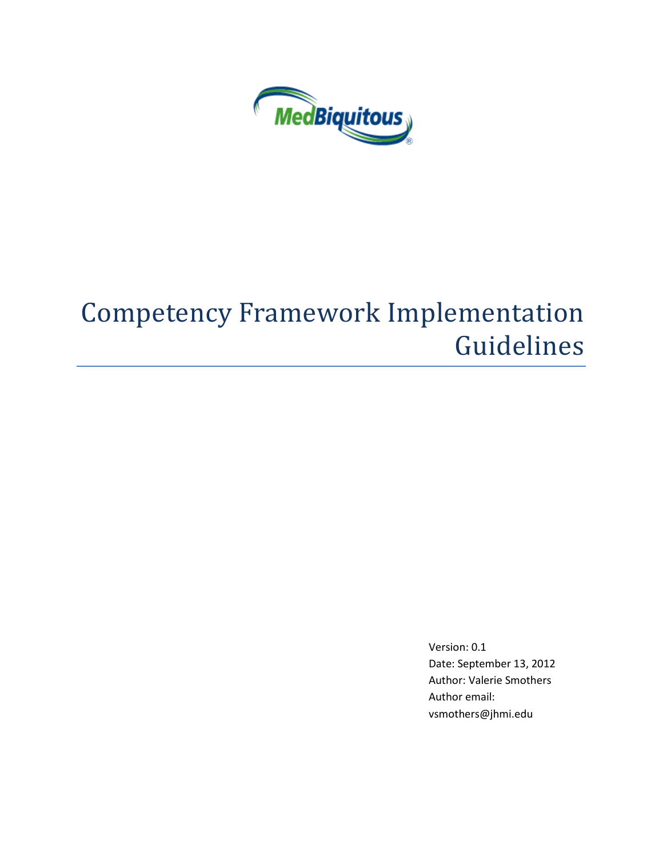

# Competency Framework Implementation Guidelines

Version: 0.1 Date: September 13, 2012 Author: Valerie Smothers Author email: vsmothers@jhmi.edu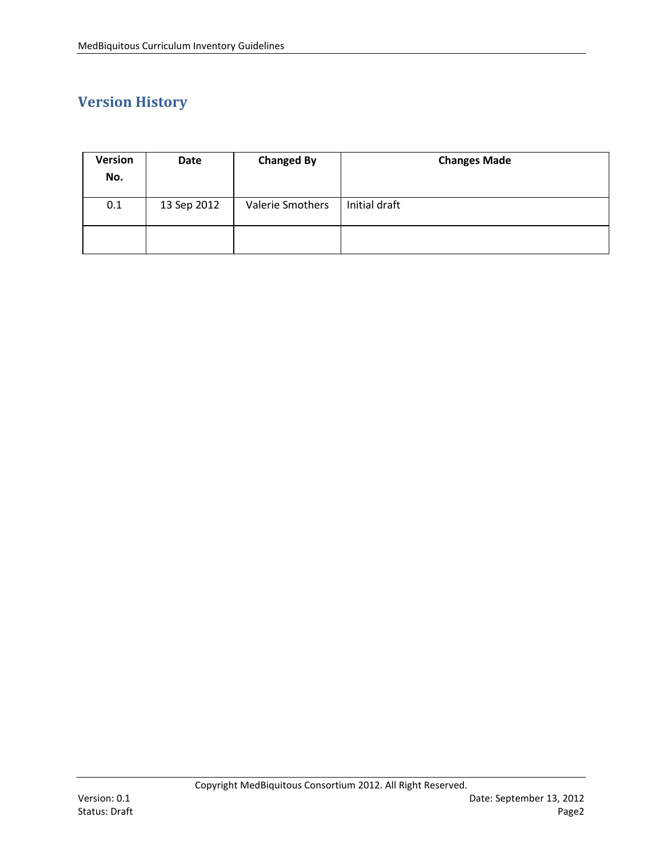## **Version History**

| Version<br>No. | Date        | <b>Changed By</b> | <b>Changes Made</b> |
|----------------|-------------|-------------------|---------------------|
| 0.1            | 13 Sep 2012 | Valerie Smothers  | Initial draft       |
|                |             |                   |                     |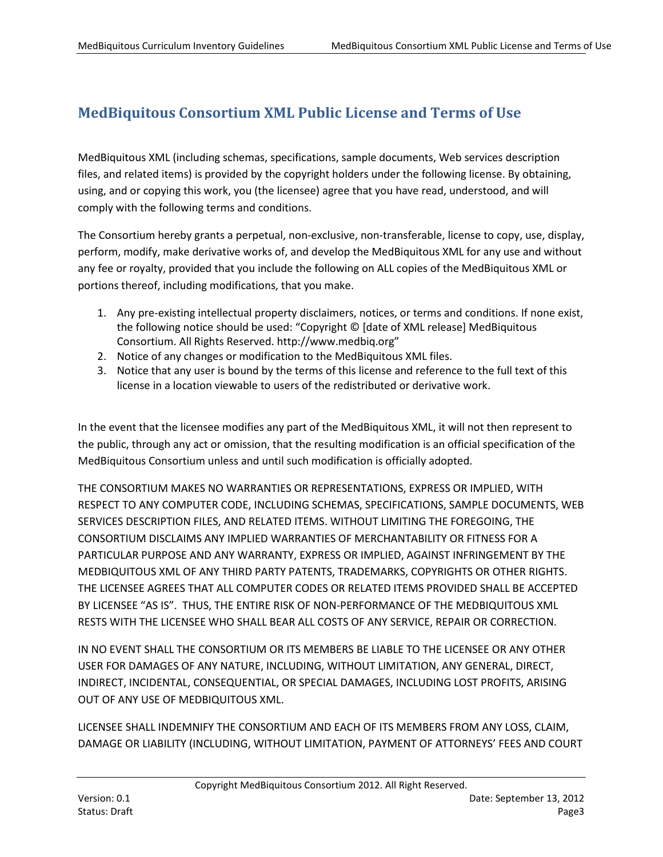## <span id="page-2-0"></span>**MedBiquitous Consortium XML Public License and Terms of Use**

MedBiquitous XML (including schemas, specifications, sample documents, Web services description files, and related items) is provided by the copyright holders under the following license. By obtaining, using, and or copying this work, you (the licensee) agree that you have read, understood, and will comply with the following terms and conditions.

The Consortium hereby grants a perpetual, non-exclusive, non-transferable, license to copy, use, display, perform, modify, make derivative works of, and develop the MedBiquitous XML for any use and without any fee or royalty, provided that you include the following on ALL copies of the MedBiquitous XML or portions thereof, including modifications, that you make.

- 1. Any pre-existing intellectual property disclaimers, notices, or terms and conditions. If none exist, the following notice should be used: "Copyright © [date of XML release] MedBiquitous Consortium. All Rights Reserved. http://www.medbiq.org"
- 2. Notice of any changes or modification to the MedBiquitous XML files.
- 3. Notice that any user is bound by the terms of this license and reference to the full text of this license in a location viewable to users of the redistributed or derivative work.

In the event that the licensee modifies any part of the MedBiquitous XML, it will not then represent to the public, through any act or omission, that the resulting modification is an official specification of the MedBiquitous Consortium unless and until such modification is officially adopted.

THE CONSORTIUM MAKES NO WARRANTIES OR REPRESENTATIONS, EXPRESS OR IMPLIED, WITH RESPECT TO ANY COMPUTER CODE, INCLUDING SCHEMAS, SPECIFICATIONS, SAMPLE DOCUMENTS, WEB SERVICES DESCRIPTION FILES, AND RELATED ITEMS. WITHOUT LIMITING THE FOREGOING, THE CONSORTIUM DISCLAIMS ANY IMPLIED WARRANTIES OF MERCHANTABILITY OR FITNESS FOR A PARTICULAR PURPOSE AND ANY WARRANTY, EXPRESS OR IMPLIED, AGAINST INFRINGEMENT BY THE MEDBIQUITOUS XML OF ANY THIRD PARTY PATENTS, TRADEMARKS, COPYRIGHTS OR OTHER RIGHTS. THE LICENSEE AGREES THAT ALL COMPUTER CODES OR RELATED ITEMS PROVIDED SHALL BE ACCEPTED BY LICENSEE "AS IS". THUS, THE ENTIRE RISK OF NON-PERFORMANCE OF THE MEDBIQUITOUS XML RESTS WITH THE LICENSEE WHO SHALL BEAR ALL COSTS OF ANY SERVICE, REPAIR OR CORRECTION.

IN NO EVENT SHALL THE CONSORTIUM OR ITS MEMBERS BE LIABLE TO THE LICENSEE OR ANY OTHER USER FOR DAMAGES OF ANY NATURE, INCLUDING, WITHOUT LIMITATION, ANY GENERAL, DIRECT, INDIRECT, INCIDENTAL, CONSEQUENTIAL, OR SPECIAL DAMAGES, INCLUDING LOST PROFITS, ARISING OUT OF ANY USE OF MEDBIQUITOUS XML.

LICENSEE SHALL INDEMNIFY THE CONSORTIUM AND EACH OF ITS MEMBERS FROM ANY LOSS, CLAIM, DAMAGE OR LIABILITY (INCLUDING, WITHOUT LIMITATION, PAYMENT OF ATTORNEYS' FEES AND COURT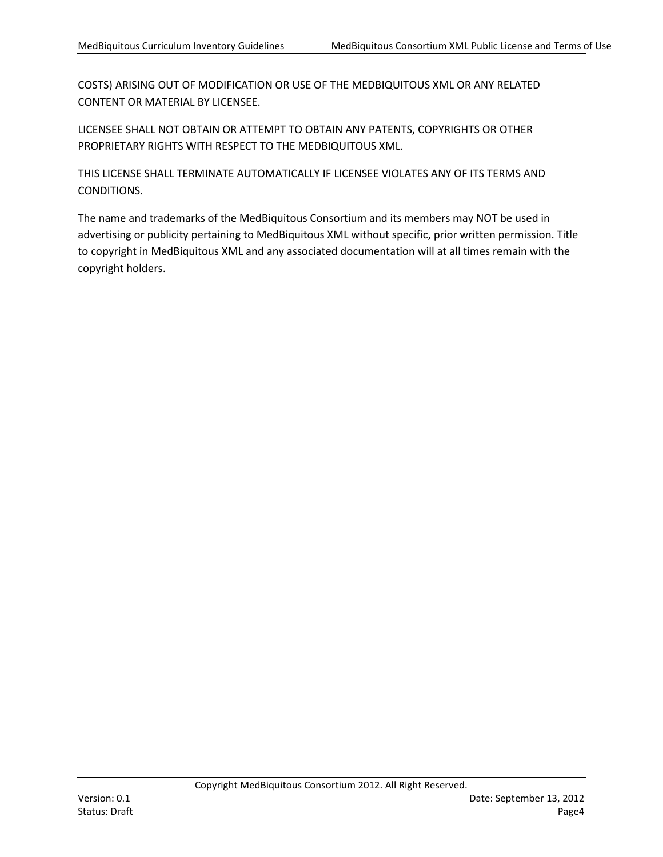COSTS) ARISING OUT OF MODIFICATION OR USE OF THE MEDBIQUITOUS XML OR ANY RELATED CONTENT OR MATERIAL BY LICENSEE.

LICENSEE SHALL NOT OBTAIN OR ATTEMPT TO OBTAIN ANY PATENTS, COPYRIGHTS OR OTHER PROPRIETARY RIGHTS WITH RESPECT TO THE MEDBIQUITOUS XML.

THIS LICENSE SHALL TERMINATE AUTOMATICALLY IF LICENSEE VIOLATES ANY OF ITS TERMS AND CONDITIONS.

The name and trademarks of the MedBiquitous Consortium and its members may NOT be used in advertising or publicity pertaining to MedBiquitous XML without specific, prior written permission. Title to copyright in MedBiquitous XML and any associated documentation will at all times remain with the copyright holders.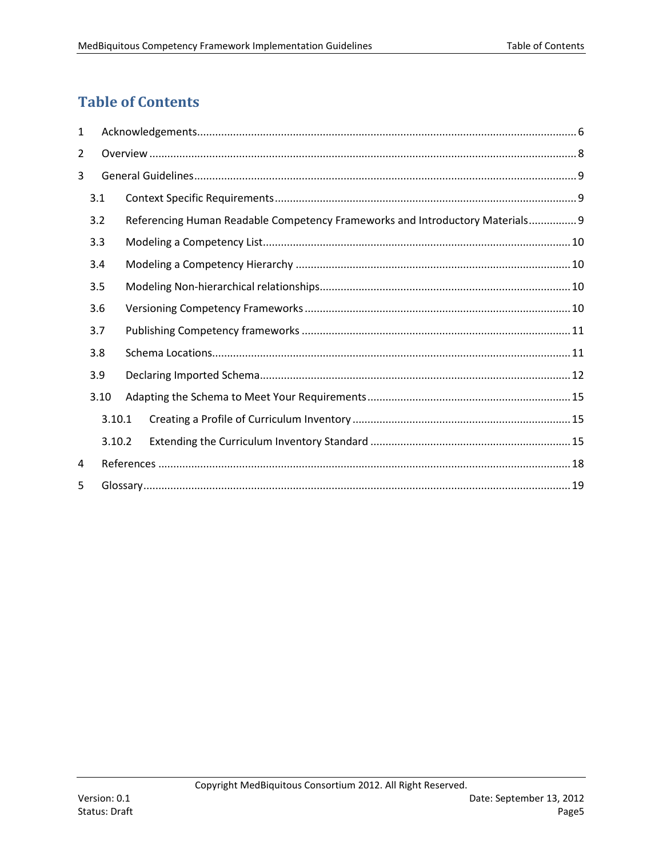## <span id="page-4-0"></span>**Table of Contents**

| $\mathbf{1}$   |      |        |  |                                                                               |  |  |  |
|----------------|------|--------|--|-------------------------------------------------------------------------------|--|--|--|
| $\overline{2}$ |      |        |  |                                                                               |  |  |  |
| 3              |      |        |  |                                                                               |  |  |  |
|                | 3.1  |        |  |                                                                               |  |  |  |
|                | 3.2  |        |  | Referencing Human Readable Competency Frameworks and Introductory Materials 9 |  |  |  |
|                | 3.3  |        |  |                                                                               |  |  |  |
| 3.4            |      |        |  |                                                                               |  |  |  |
|                | 3.5  |        |  |                                                                               |  |  |  |
| 3.6            |      |        |  |                                                                               |  |  |  |
|                | 3.7  |        |  |                                                                               |  |  |  |
|                | 3.8  |        |  |                                                                               |  |  |  |
|                | 3.9  |        |  |                                                                               |  |  |  |
|                | 3.10 |        |  |                                                                               |  |  |  |
|                |      | 3.10.1 |  |                                                                               |  |  |  |
|                |      | 3.10.2 |  |                                                                               |  |  |  |
| 4              |      |        |  |                                                                               |  |  |  |
| 5              |      |        |  |                                                                               |  |  |  |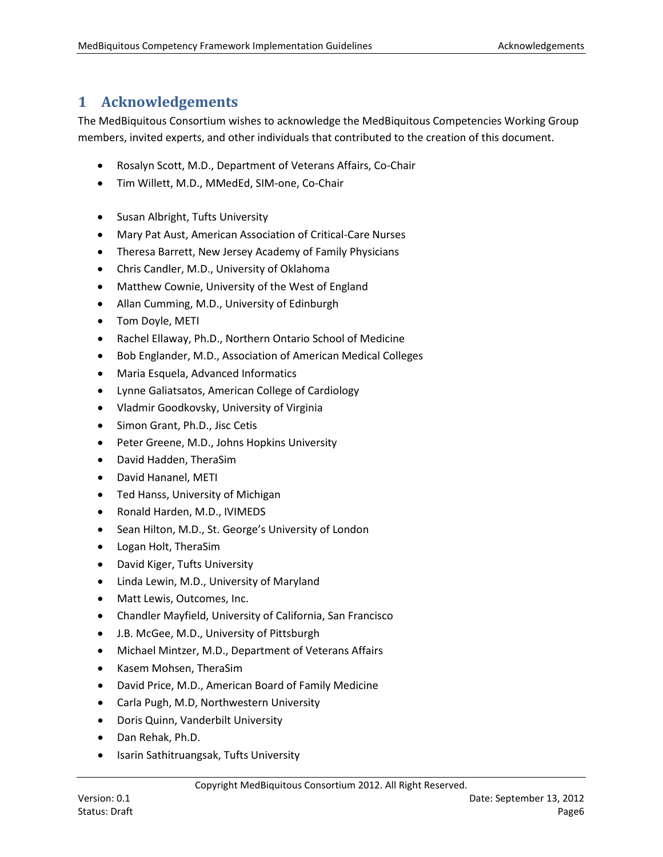## <span id="page-5-0"></span>**1 Acknowledgements**

The MedBiquitous Consortium wishes to acknowledge the MedBiquitous Competencies Working Group members, invited experts, and other individuals that contributed to the creation of this document.

- Rosalyn Scott, M.D., Department of Veterans Affairs, Co-Chair
- Tim Willett, M.D., MMedEd, SIM-one, Co-Chair
- Susan Albright, Tufts University
- Mary Pat Aust, American Association of Critical-Care Nurses
- Theresa Barrett, New Jersey Academy of Family Physicians
- Chris Candler, M.D., University of Oklahoma
- Matthew Cownie, University of the West of England
- Allan Cumming, M.D., University of Edinburgh
- Tom Doyle, METI
- Rachel Ellaway, Ph.D., Northern Ontario School of Medicine
- Bob Englander, M.D., Association of American Medical Colleges
- Maria Esquela, Advanced Informatics
- Lynne Galiatsatos, American College of Cardiology
- Vladmir Goodkovsky, University of Virginia
- Simon Grant, Ph.D., Jisc Cetis
- Peter Greene, M.D., Johns Hopkins University
- David Hadden, TheraSim
- David Hananel, METI
- Ted Hanss, University of Michigan
- Ronald Harden, M.D., IVIMEDS
- Sean Hilton, M.D., St. George's University of London
- Logan Holt, TheraSim
- David Kiger, Tufts University
- Linda Lewin, M.D., University of Maryland
- Matt Lewis, Outcomes, Inc.
- Chandler Mayfield, University of California, San Francisco
- J.B. McGee, M.D., University of Pittsburgh
- Michael Mintzer, M.D., Department of Veterans Affairs
- Kasem Mohsen, TheraSim
- David Price, M.D., American Board of Family Medicine
- Carla Pugh, M.D, Northwestern University
- Doris Quinn, Vanderbilt University
- Dan Rehak, Ph.D.
- Isarin Sathitruangsak, Tufts University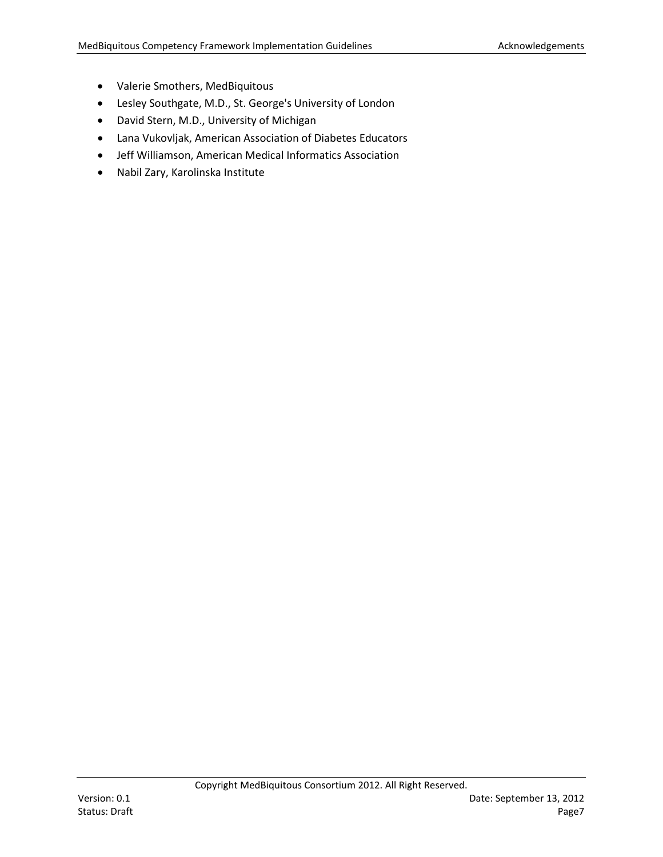- Valerie Smothers, MedBiquitous
- Lesley Southgate, M.D., St. George's University of London
- David Stern, M.D., University of Michigan
- Lana Vukovljak, American Association of Diabetes Educators
- Jeff Williamson, American Medical Informatics Association
- Nabil Zary, Karolinska Institute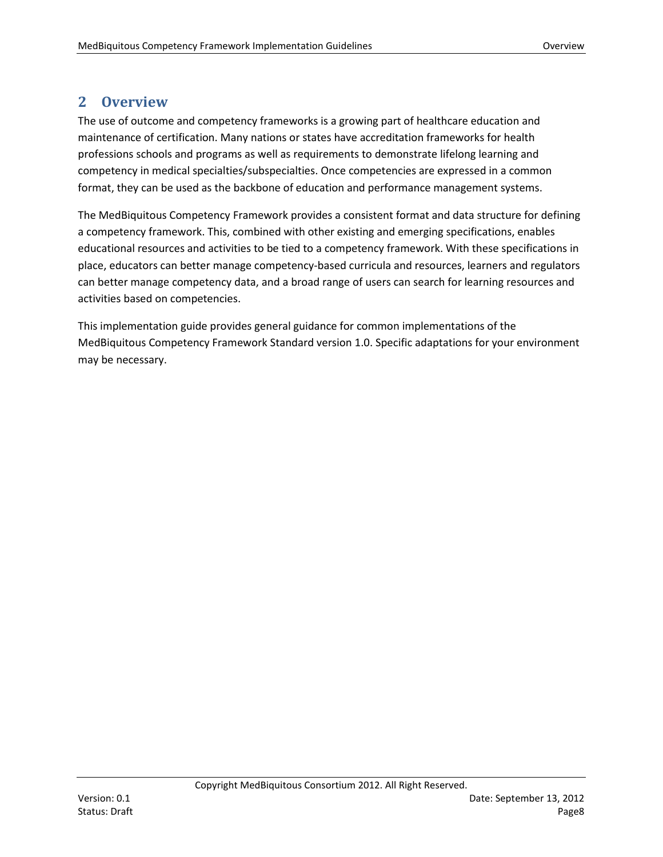### <span id="page-7-0"></span>**2 Overview**

The use of outcome and competency frameworks is a growing part of healthcare education and maintenance of certification. Many nations or states have accreditation frameworks for health professions schools and programs as well as requirements to demonstrate lifelong learning and competency in medical specialties/subspecialties. Once competencies are expressed in a common format, they can be used as the backbone of education and performance management systems.

The MedBiquitous Competency Framework provides a consistent format and data structure for defining a competency framework. This, combined with other existing and emerging specifications, enables educational resources and activities to be tied to a competency framework. With these specifications in place, educators can better manage competency-based curricula and resources, learners and regulators can better manage competency data, and a broad range of users can search for learning resources and activities based on competencies.

This implementation guide provides general guidance for common implementations of the MedBiquitous Competency Framework Standard version 1.0. Specific adaptations for your environment may be necessary.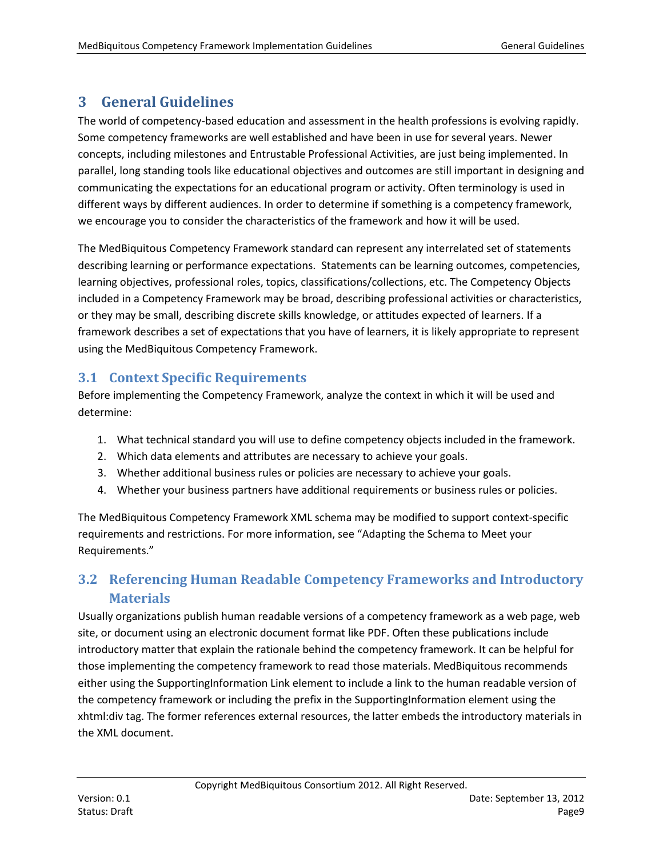## <span id="page-8-0"></span>**3 General Guidelines**

The world of competency-based education and assessment in the health professions is evolving rapidly. Some competency frameworks are well established and have been in use for several years. Newer concepts, including milestones and Entrustable Professional Activities, are just being implemented. In parallel, long standing tools like educational objectives and outcomes are still important in designing and communicating the expectations for an educational program or activity. Often terminology is used in different ways by different audiences. In order to determine if something is a competency framework, we encourage you to consider the characteristics of the framework and how it will be used.

The MedBiquitous Competency Framework standard can represent any interrelated set of statements describing learning or performance expectations. Statements can be learning outcomes, competencies, learning objectives, professional roles, topics, classifications/collections, etc. The Competency Objects included in a Competency Framework may be broad, describing professional activities or characteristics, or they may be small, describing discrete skills knowledge, or attitudes expected of learners. If a framework describes a set of expectations that you have of learners, it is likely appropriate to represent using the MedBiquitous Competency Framework.

#### <span id="page-8-1"></span>**3.1 Context Specific Requirements**

Before implementing the Competency Framework, analyze the context in which it will be used and determine:

- 1. What technical standard you will use to define competency objects included in the framework.
- 2. Which data elements and attributes are necessary to achieve your goals.
- 3. Whether additional business rules or policies are necessary to achieve your goals.
- 4. Whether your business partners have additional requirements or business rules or policies.

The MedBiquitous Competency Framework XML schema may be modified to support context-specific requirements and restrictions. For more information, see "Adapting the Schema to Meet your Requirements."

## <span id="page-8-2"></span>**3.2 Referencing Human Readable Competency Frameworks and Introductory Materials**

Usually organizations publish human readable versions of a competency framework as a web page, web site, or document using an electronic document format like PDF. Often these publications include introductory matter that explain the rationale behind the competency framework. It can be helpful for those implementing the competency framework to read those materials. MedBiquitous recommends either using the SupportingInformation Link element to include a link to the human readable version of the competency framework or including the prefix in the SupportingInformation element using the xhtml:div tag. The former references external resources, the latter embeds the introductory materials in the XML document.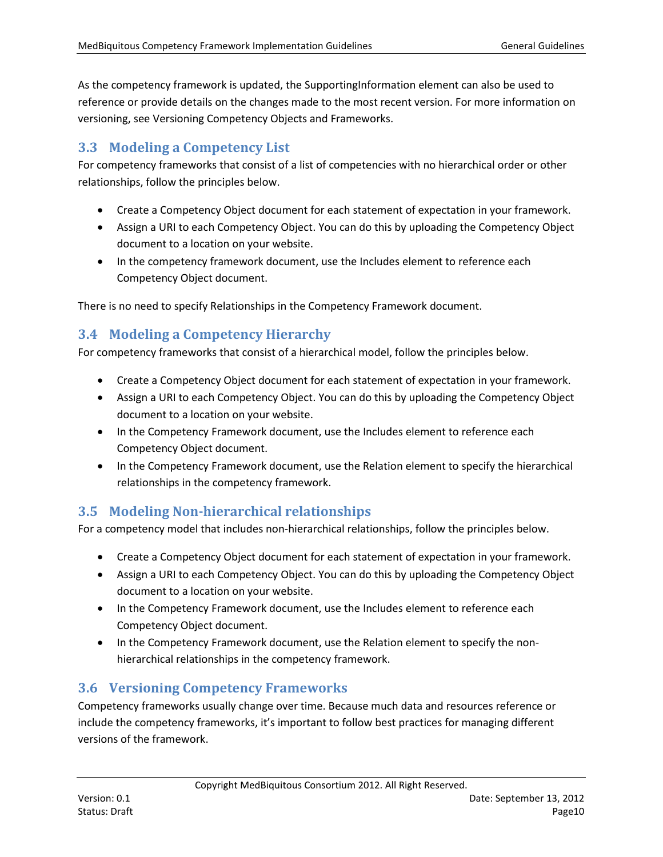As the competency framework is updated, the SupportingInformation element can also be used to reference or provide details on the changes made to the most recent version. For more information on versioning, see Versioning Competency Objects and Frameworks.

## <span id="page-9-0"></span>**3.3 Modeling a Competency List**

For competency frameworks that consist of a list of competencies with no hierarchical order or other relationships, follow the principles below.

- Create a Competency Object document for each statement of expectation in your framework.
- Assign a URI to each Competency Object. You can do this by uploading the Competency Object document to a location on your website.
- In the competency framework document, use the Includes element to reference each Competency Object document.

There is no need to specify Relationships in the Competency Framework document.

#### <span id="page-9-1"></span>**3.4 Modeling a Competency Hierarchy**

For competency frameworks that consist of a hierarchical model, follow the principles below.

- Create a Competency Object document for each statement of expectation in your framework.
- Assign a URI to each Competency Object. You can do this by uploading the Competency Object document to a location on your website.
- In the Competency Framework document, use the Includes element to reference each Competency Object document.
- In the Competency Framework document, use the Relation element to specify the hierarchical relationships in the competency framework.

#### <span id="page-9-2"></span>**3.5 Modeling Non-hierarchical relationships**

For a competency model that includes non-hierarchical relationships, follow the principles below.

- Create a Competency Object document for each statement of expectation in your framework.
- Assign a URI to each Competency Object. You can do this by uploading the Competency Object document to a location on your website.
- In the Competency Framework document, use the Includes element to reference each Competency Object document.
- In the Competency Framework document, use the Relation element to specify the nonhierarchical relationships in the competency framework.

#### <span id="page-9-3"></span>**3.6 Versioning Competency Frameworks**

Competency frameworks usually change over time. Because much data and resources reference or include the competency frameworks, it's important to follow best practices for managing different versions of the framework.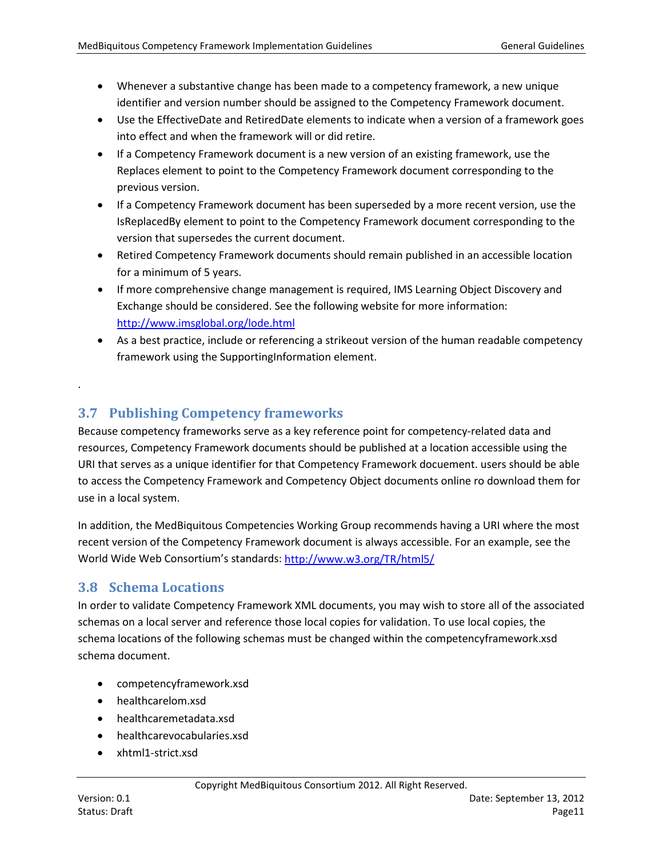- Whenever a substantive change has been made to a competency framework, a new unique identifier and version number should be assigned to the Competency Framework document.
- Use the EffectiveDate and RetiredDate elements to indicate when a version of a framework goes into effect and when the framework will or did retire.
- If a Competency Framework document is a new version of an existing framework, use the Replaces element to point to the Competency Framework document corresponding to the previous version.
- If a Competency Framework document has been superseded by a more recent version, use the IsReplacedBy element to point to the Competency Framework document corresponding to the version that supersedes the current document.
- Retired Competency Framework documents should remain published in an accessible location for a minimum of 5 years.
- If more comprehensive change management is required, IMS Learning Object Discovery and Exchange should be considered. See the following website for more information: <http://www.imsglobal.org/lode.html>
- As a best practice, include or referencing a strikeout version of the human readable competency framework using the SupportingInformation element.

## <span id="page-10-0"></span>**3.7 Publishing Competency frameworks**

Because competency frameworks serve as a key reference point for competency-related data and resources, Competency Framework documents should be published at a location accessible using the URI that serves as a unique identifier for that Competency Framework docuement. users should be able to access the Competency Framework and Competency Object documents online ro download them for use in a local system.

In addition, the MedBiquitous Competencies Working Group recommends having a URI where the most recent version of the Competency Framework document is always accessible. For an example, see the World Wide Web Consortium's standards:<http://www.w3.org/TR/html5/>

#### <span id="page-10-1"></span>**3.8 Schema Locations**

In order to validate Competency Framework XML documents, you may wish to store all of the associated schemas on a local server and reference those local copies for validation. To use local copies, the schema locations of the following schemas must be changed within the competencyframework.xsd schema document.

- competencyframework.xsd
- healthcarelom.xsd
- healthcaremetadata.xsd
- healthcarevocabularies.xsd
- xhtml1-strict.xsd

.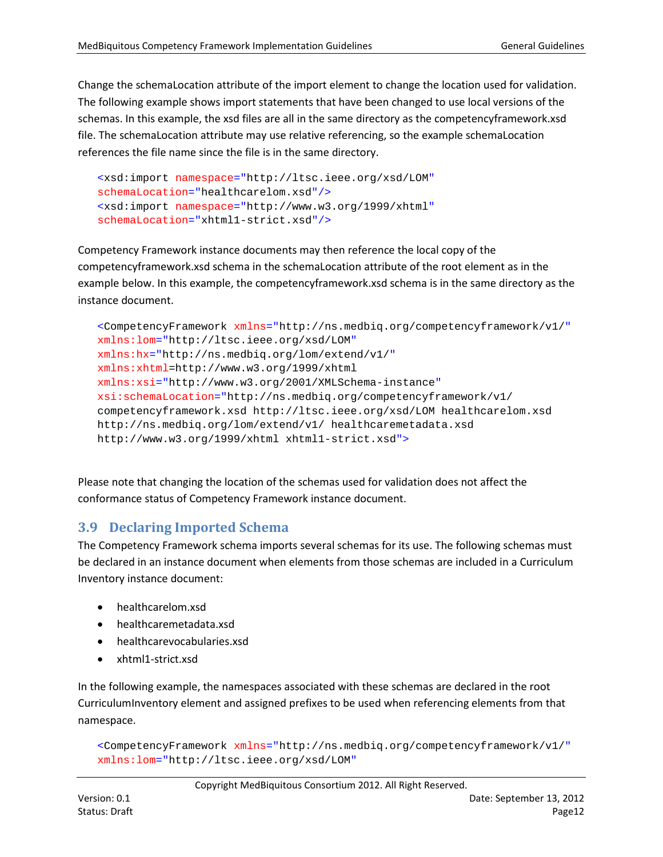Change the schemaLocation attribute of the import element to change the location used for validation. The following example shows import statements that have been changed to use local versions of the schemas. In this example, the xsd files are all in the same directory as the competencyframework.xsd file. The schemaLocation attribute may use relative referencing, so the example schemaLocation references the file name since the file is in the same directory.

```
<xsd:import namespace="http://ltsc.ieee.org/xsd/LOM"
schemaLocation="healthcarelom.xsd"/>
<xsd:import namespace="http://www.w3.org/1999/xhtml"
schemaLocation="xhtml1-strict.xsd"/>
```
Competency Framework instance documents may then reference the local copy of the competencyframework.xsd schema in the schemaLocation attribute of the root element as in the example below. In this example, the competencyframework.xsd schema is in the same directory as the instance document.

```
<CompetencyFramework xmlns="http://ns.medbiq.org/competencyframework/v1/"
xmlns:lom="http://ltsc.ieee.org/xsd/LOM"
xmlns:hx="http://ns.medbiq.org/lom/extend/v1/"
xmlns:xhtml=http://www.w3.org/1999/xhtml
xmlns:xsi="http://www.w3.org/2001/XMLSchema-instance"
xsi:schemaLocation="http://ns.medbiq.org/competencyframework/v1/ 
competencyframework.xsd http://ltsc.ieee.org/xsd/LOM healthcarelom.xsd 
http://ns.medbiq.org/lom/extend/v1/ healthcaremetadata.xsd
http://www.w3.org/1999/xhtml xhtml1-strict.xsd">
```
Please note that changing the location of the schemas used for validation does not affect the conformance status of Competency Framework instance document.

#### <span id="page-11-0"></span>**3.9 Declaring Imported Schema**

The Competency Framework schema imports several schemas for its use. The following schemas must be declared in an instance document when elements from those schemas are included in a Curriculum Inventory instance document:

- healthcarelom.xsd
- healthcaremetadata.xsd
- healthcarevocabularies.xsd
- xhtml1-strict.xsd

In the following example, the namespaces associated with these schemas are declared in the root CurriculumInventory element and assigned prefixes to be used when referencing elements from that namespace.

```
<CompetencyFramework xmlns="http://ns.medbiq.org/competencyframework/v1/"
xmlns:lom="http://ltsc.ieee.org/xsd/LOM"
```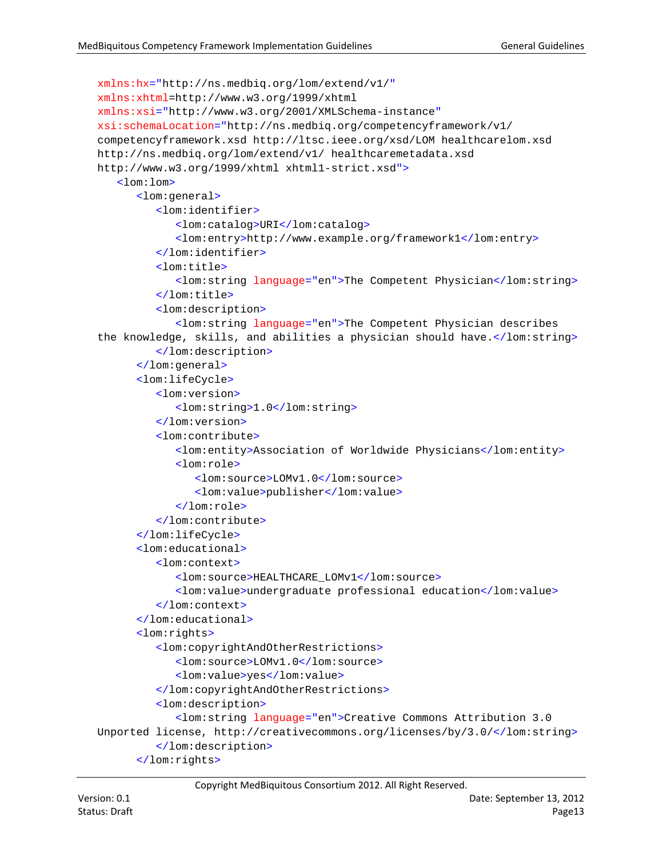```
xmlns:hx="http://ns.medbiq.org/lom/extend/v1/"
xmlns:xhtml=http://www.w3.org/1999/xhtml
xmlns:xsi="http://www.w3.org/2001/XMLSchema-instance"
xsi:schemaLocation="http://ns.medbiq.org/competencyframework/v1/ 
competencyframework.xsd http://ltsc.ieee.org/xsd/LOM healthcarelom.xsd 
http://ns.medbiq.org/lom/extend/v1/ healthcaremetadata.xsd 
http://www.w3.org/1999/xhtml xhtml1-strict.xsd">
   <lom:lom>
      <lom:general>
         <lom:identifier>
            <lom:catalog>URI</lom:catalog>
            <lom:entry>http://www.example.org/framework1</lom:entry>
         </lom:identifier>
         <lom:title>
            <lom:string language="en">The Competent Physician</lom:string>
         </lom:title>
         <lom:description>
            <lom:string language="en">The Competent Physician describes 
the knowledge, skills, and abilities a physician should have.</lom:string>
         </lom:description>
      </lom:general>
      <lom:lifeCycle>
         <lom:version>
            <lom:string>1.0</lom:string>
         </lom:version>
         <lom:contribute>
            <lom:entity>Association of Worldwide Physicians</lom:entity>
            <lom:role>
               <lom:source>LOMv1.0</lom:source>
               <lom:value>publisher</lom:value>
            </lom:role>
         </lom:contribute>
      </lom:lifeCycle>
      <lom:educational>
         <lom:context>
            <lom:source>HEALTHCARE_LOMv1</lom:source>
            <lom:value>undergraduate professional education</lom:value>
         </lom:context>
      </lom:educational>
      <lom:rights>
         <lom:copyrightAndOtherRestrictions>
            <lom:source>LOMv1.0</lom:source>
            <lom:value>yes</lom:value>
         </lom:copyrightAndOtherRestrictions>
         <lom:description>
            <lom:string language="en">Creative Commons Attribution 3.0 
Unported license, http://creativecommons.org/licenses/by/3.0/</lom:string>
         </lom:description>
      </lom:rights>
```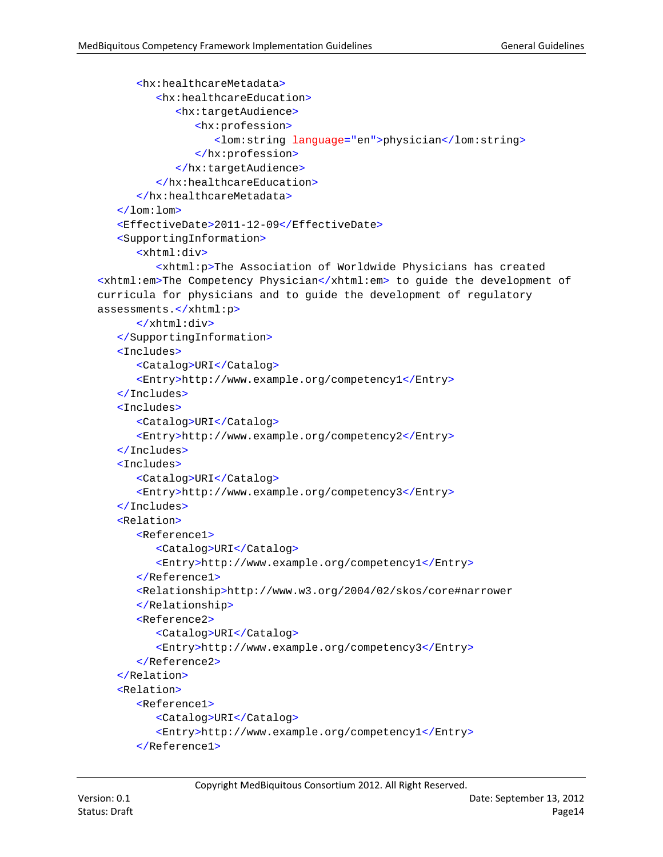```
<hx:healthcareMetadata>
         <hx:healthcareEducation>
            <hx:targetAudience>
               <hx:profession>
                  <lom:string language="en">physician</lom:string>
               </hx:profession>
            </hx:targetAudience>
         </hx:healthcareEducation>
      </hx:healthcareMetadata>
   </lom:lom>
   <EffectiveDate>2011-12-09</EffectiveDate>
   <SupportingInformation>
      <xhtml:div>
         <xhtml:p>The Association of Worldwide Physicians has created 
<xhtml:em>The Competency Physician</xhtml:em> to guide the development of 
curricula for physicians and to guide the development of regulatory 
assessments.</xhtml:p>
      </xhtml:div>
  </SupportingInformation>
   <Includes>
      <Catalog>URI</Catalog>
      <Entry>http://www.example.org/competency1</Entry>
   </Includes>
   <Includes>
      <Catalog>URI</Catalog>
      <Entry>http://www.example.org/competency2</Entry>
   </Includes>
   <Includes>
      <Catalog>URI</Catalog>
      <Entry>http://www.example.org/competency3</Entry>
   </Includes>
   <Relation>
      <Reference1>
         <Catalog>URI</Catalog>
         <Entry>http://www.example.org/competency1</Entry>
      </Reference1>
      <Relationship>http://www.w3.org/2004/02/skos/core#narrower
      </Relationship>
      <Reference2>
         <Catalog>URI</Catalog>
         <Entry>http://www.example.org/competency3</Entry>
      </Reference2>
  </Relation>
   <Relation>
      <Reference1>
         <Catalog>URI</Catalog>
         <Entry>http://www.example.org/competency1</Entry>
      </Reference1>
```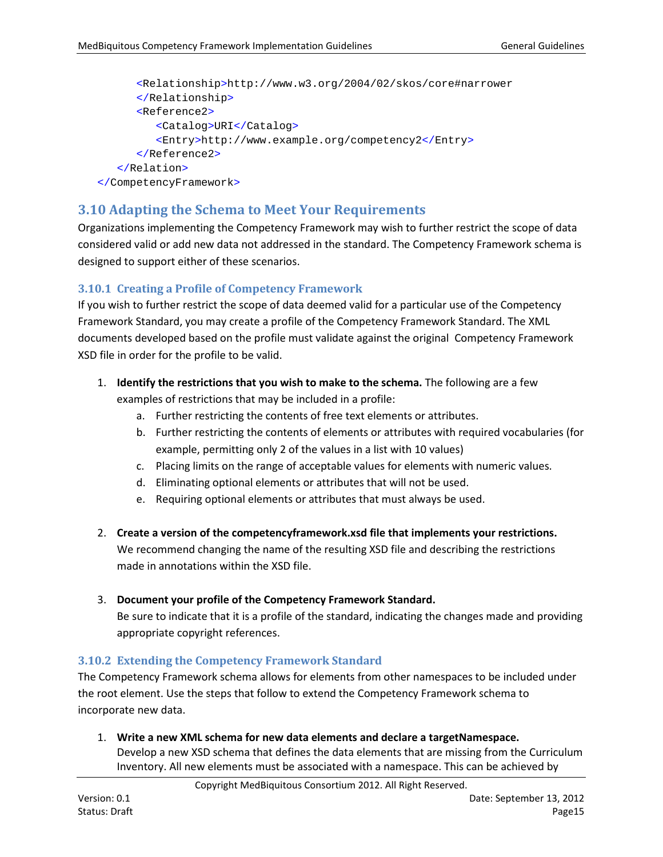```
<Relationship>http://www.w3.org/2004/02/skos/core#narrower
      </Relationship>
      <Reference2>
         <Catalog>URI</Catalog>
         <Entry>http://www.example.org/competency2</Entry>
      </Reference2>
   </Relation>
</CompetencyFramework>
```
#### <span id="page-14-0"></span>**3.10 Adapting the Schema to Meet Your Requirements**

Organizations implementing the Competency Framework may wish to further restrict the scope of data considered valid or add new data not addressed in the standard. The Competency Framework schema is designed to support either of these scenarios.

#### <span id="page-14-1"></span>**3.10.1 Creating a Profile of Competency Framework**

If you wish to further restrict the scope of data deemed valid for a particular use of the Competency Framework Standard, you may create a profile of the Competency Framework Standard. The XML documents developed based on the profile must validate against the original Competency Framework XSD file in order for the profile to be valid.

- 1. **Identify the restrictions that you wish to make to the schema.** The following are a few examples of restrictions that may be included in a profile:
	- a. Further restricting the contents of free text elements or attributes.
	- b. Further restricting the contents of elements or attributes with required vocabularies (for example, permitting only 2 of the values in a list with 10 values)
	- c. Placing limits on the range of acceptable values for elements with numeric values.
	- d. Eliminating optional elements or attributes that will not be used.
	- e. Requiring optional elements or attributes that must always be used.
- 2. **Create a version of the competencyframework.xsd file that implements your restrictions.** We recommend changing the name of the resulting XSD file and describing the restrictions made in annotations within the XSD file.
- 3. **Document your profile of the Competency Framework Standard.**

Be sure to indicate that it is a profile of the standard, indicating the changes made and providing appropriate copyright references.

#### <span id="page-14-2"></span>**3.10.2 Extending the Competency Framework Standard**

The Competency Framework schema allows for elements from other namespaces to be included under the root element. Use the steps that follow to extend the Competency Framework schema to incorporate new data.

1. **Write a new XML schema for new data elements and declare a targetNamespace.** Develop a new XSD schema that defines the data elements that are missing from the Curriculum Inventory. All new elements must be associated with a namespace. This can be achieved by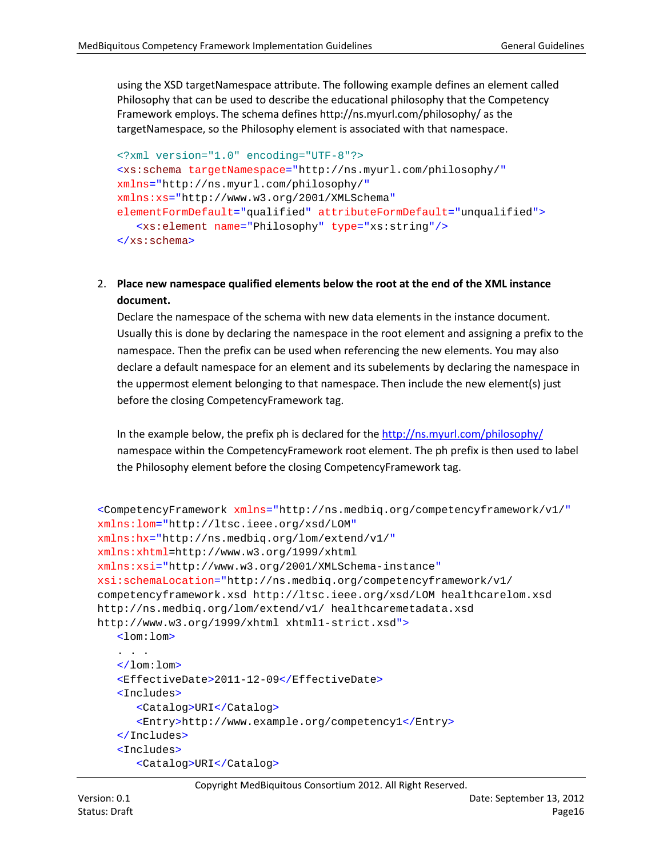using the XSD targetNamespace attribute. The following example defines an element called Philosophy that can be used to describe the educational philosophy that the Competency Framework employs. The schema defines http://ns.myurl.com/philosophy/ as the targetNamespace, so the Philosophy element is associated with that namespace.

```
<?xml version="1.0" encoding="UTF-8"?>
<xs:schema targetNamespace="http://ns.myurl.com/philosophy/"
xmlns="http://ns.myurl.com/philosophy/"
xmlns:xs="http://www.w3.org/2001/XMLSchema"
elementFormDefault="qualified" attributeFormDefault="unqualified">
   <xs:element name="Philosophy" type="xs:string"/>
</xs:schema>
```
#### 2. **Place new namespace qualified elements below the root at the end of the XML instance document.**

Declare the namespace of the schema with new data elements in the instance document. Usually this is done by declaring the namespace in the root element and assigning a prefix to the namespace. Then the prefix can be used when referencing the new elements. You may also declare a default namespace for an element and its subelements by declaring the namespace in the uppermost element belonging to that namespace. Then include the new element(s) just before the closing CompetencyFramework tag.

In the example below, the prefix ph is declared for the<http://ns.myurl.com/philosophy/> namespace within the CompetencyFramework root element. The ph prefix is then used to label the Philosophy element before the closing CompetencyFramework tag.

```
<CompetencyFramework xmlns="http://ns.medbiq.org/competencyframework/v1/"
xmlns:lom="http://ltsc.ieee.org/xsd/LOM"
xmlns:hx="http://ns.medbiq.org/lom/extend/v1/"
xmlns:xhtml=http://www.w3.org/1999/xhtml
xmlns:xsi="http://www.w3.org/2001/XMLSchema-instance"
xsi:schemaLocation="http://ns.medbiq.org/competencyframework/v1/ 
competencyframework.xsd http://ltsc.ieee.org/xsd/LOM healthcarelom.xsd 
http://ns.medbiq.org/lom/extend/v1/ healthcaremetadata.xsd 
http://www.w3.org/1999/xhtml xhtml1-strict.xsd">
   <lom:lom>
   . . .
   </lom:lom>
   <EffectiveDate>2011-12-09</EffectiveDate>
   <Includes>
      <Catalog>URI</Catalog>
      <Entry>http://www.example.org/competency1</Entry>
   </Includes>
   <Includes>
      <Catalog>URI</Catalog>
```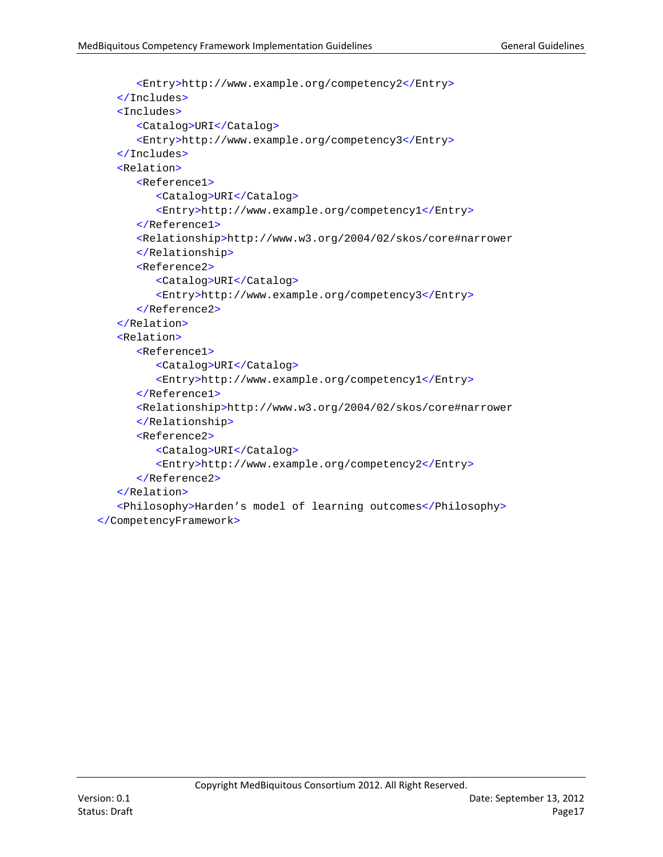```
<Entry>http://www.example.org/competency2</Entry>
   </Includes>
   <Includes>
      <Catalog>URI</Catalog>
      <Entry>http://www.example.org/competency3</Entry>
   </Includes>
   <Relation>
      <Reference1>
         <Catalog>URI</Catalog>
         <Entry>http://www.example.org/competency1</Entry>
      </Reference1>
      <Relationship>http://www.w3.org/2004/02/skos/core#narrower
      </Relationship>
      <Reference2>
         <Catalog>URI</Catalog>
         <Entry>http://www.example.org/competency3</Entry>
      </Reference2>
   </Relation>
   <Relation>
      <Reference1>
         <Catalog>URI</Catalog>
         <Entry>http://www.example.org/competency1</Entry>
      </Reference1>
      <Relationship>http://www.w3.org/2004/02/skos/core#narrower
      </Relationship>
      <Reference2>
         <Catalog>URI</Catalog>
         <Entry>http://www.example.org/competency2</Entry>
      </Reference2>
   </Relation>
   <Philosophy>Harden's model of learning outcomes</Philosophy>
</CompetencyFramework>
```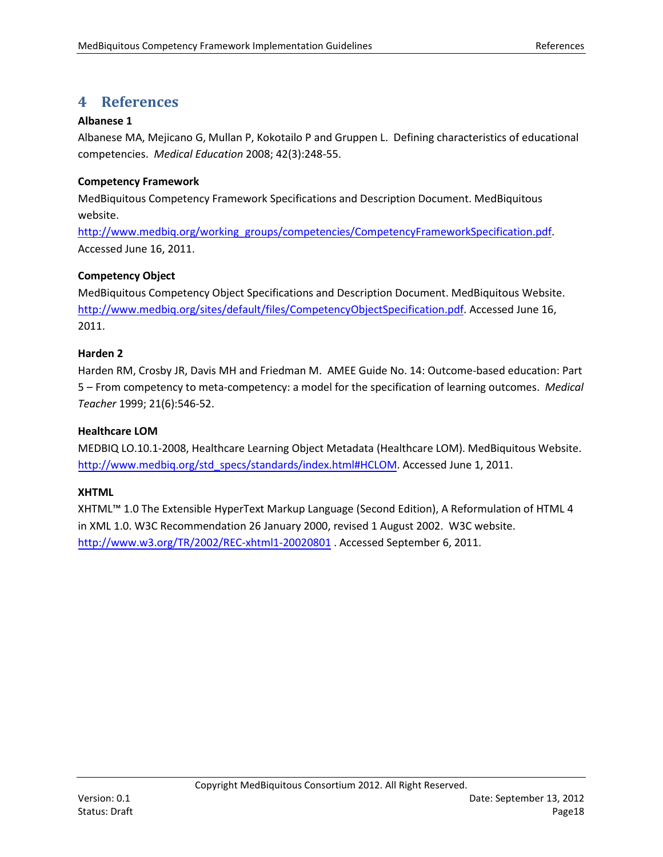## <span id="page-17-0"></span>**4 References**

#### **Albanese 1**

Albanese MA, Mejicano G, Mullan P, Kokotailo P and Gruppen L. Defining characteristics of educational competencies. *Medical Education* 2008; 42(3):248-55.

#### **Competency Framework**

MedBiquitous Competency Framework Specifications and Description Document. MedBiquitous website.

[http://www.medbiq.org/working\\_groups/competencies/CompetencyFrameworkSpecification.pdf.](http://www.medbiq.org/working_groups/competencies/CompetencyFrameworkSpecification.pdf) Accessed June 16, 2011.

#### **Competency Object**

MedBiquitous Competency Object Specifications and Description Document. MedBiquitous Website. [http://www.medbiq.org/sites/default/files/CompetencyObjectSpecification.pdf.](http://www.medbiq.org/sites/default/files/CompetencyObjectSpecification.pdf) Accessed June 16, 2011.

#### **Harden 2**

Harden RM, Crosby JR, Davis MH and Friedman M. AMEE Guide No. 14: Outcome-based education: Part 5 – From competency to meta-competency: a model for the specification of learning outcomes. *Medical Teacher* 1999; 21(6):546-52.

#### **Healthcare LOM**

MEDBIQ LO.10.1-2008, Healthcare Learning Object Metadata (Healthcare LOM). MedBiquitous Website. http://w[ww.medbiq.org/std\\_specs/standards/index.html#HCLOM.](http://www.medbiq.org/std_specs/standards/index.html#HCLOM) Accessed June 1, 2011.

#### **XHTML**

XHTML™ 1.0 The Extensible HyperText Markup Language (Second Edition), A Reformulation of HTML 4 in XML 1.0. W3C Recommendation 26 January 2000, revised 1 August 2002. W3C website. <http://www.w3.org/TR/2002/REC-xhtml1-20020801> . Accessed September 6, 2011.